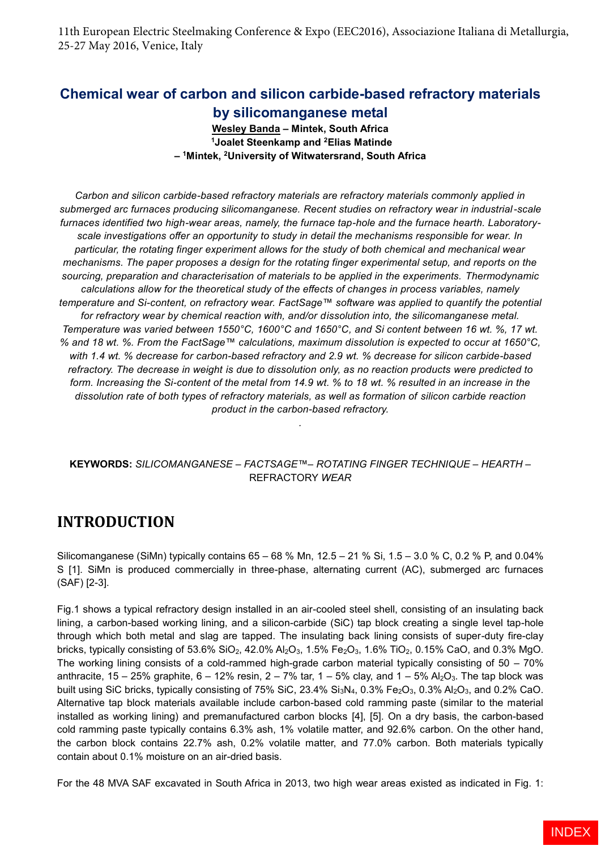11th European Electric Steelmaking Conference & Expo (EEC2016), Associazione Italiana di Metallurgia, 25-27 May 2016, Venice, Italy

### **Chemical wear of carbon and silicon carbide-based refractory materials by silicomanganese metal**

**Wesley Banda – Mintek, South Africa <sup>1</sup>Joalet Steenkamp and <sup>2</sup>Elias Matinde – <sup>1</sup>Mintek, <sup>2</sup>University of Witwatersrand, South Africa**

*Carbon and silicon carbide-based refractory materials are refractory materials commonly applied in submerged arc furnaces producing silicomanganese. Recent studies on refractory wear in industrial-scale furnaces identified two high-wear areas, namely, the furnace tap-hole and the furnace hearth. Laboratoryscale investigations offer an opportunity to study in detail the mechanisms responsible for wear. In particular, the rotating finger experiment allows for the study of both chemical and mechanical wear mechanisms. The paper proposes a design for the rotating finger experimental setup, and reports on the sourcing, preparation and characterisation of materials to be applied in the experiments. Thermodynamic calculations allow for the theoretical study of the effects of changes in process variables, namely temperature and Si-content, on refractory wear. FactSage™ software was applied to quantify the potential for refractory wear by chemical reaction with, and/or dissolution into, the silicomanganese metal. Temperature was varied between 1550°C, 1600°C and 1650°C, and Si content between 16 wt. %, 17 wt. % and 18 wt. %. From the FactSage™ calculations, maximum dissolution is expected to occur at 1650°C, with 1.4 wt. % decrease for carbon-based refractory and 2.9 wt. % decrease for silicon carbide-based refractory. The decrease in weight is due to dissolution only, as no reaction products were predicted to form. Increasing the Si-content of the metal from 14.9 wt. % to 18 wt. % resulted in an increase in the dissolution rate of both types of refractory materials, as well as formation of silicon carbide reaction product in the carbon-based refractory.*

#### **KEYWORDS:** *SILICOMANGANESE* – *FACTSAGE™*– *ROTATING FINGER TECHNIQUE* – *HEARTH* – REFRACTORY *WEAR*

*.*

# **INTRODUCTION**

Silicomanganese (SiMn) typically contains  $65 - 68$  % Mn,  $12.5 - 21$  % Si,  $1.5 - 3.0$  % C, 0.2 % P, and 0.04% S [1]. SiMn is produced commercially in three-phase, alternating current (AC), submerged arc furnaces (SAF) [2-3].

Fig.1 shows a typical refractory design installed in an air-cooled steel shell, consisting of an insulating back lining, a carbon-based working lining, and a silicon-carbide (SiC) tap block creating a single level tap-hole through which both metal and slag are tapped. The insulating back lining consists of super-duty fire-clay bricks, typically consisting of 53.6% SiO<sub>2</sub>, 42.0% Al<sub>2</sub>O<sub>3</sub>, 1.5% Fe<sub>2</sub>O<sub>3</sub>, 1.6% TiO<sub>2</sub>, 0.15% CaO, and 0.3% MgO. The working lining consists of a cold-rammed high-grade carbon material typically consisting of 50 – 70% anthracite, 15 – 25% graphite,  $6 - 12\%$  resin,  $2 - 7\%$  tar,  $1 - 5\%$  clay, and  $1 - 5\%$  Al<sub>2</sub>O<sub>3</sub>. The tap block was built using SiC bricks, typically consisting of 75% SiC, 23.4% Si<sub>3</sub>N<sub>4</sub>, 0.3% Fe<sub>2</sub>O<sub>3</sub>, 0.3% Al<sub>2</sub>O<sub>3</sub>, and 0.2% CaO. Alternative tap block materials available include carbon-based cold ramming paste (similar to the material installed as working lining) and premanufactured carbon blocks [4], [5]. On a dry basis, the carbon-based cold ramming paste typically contains 6.3% ash, 1% volatile matter, and 92.6% carbon. On the other hand, the carbon block contains 22.7% ash, 0.2% volatile matter, and 77.0% carbon. Both materials typically contain about 0.1% moisture on an air-dried basis.

For the 48 MVA SAF excavated in South Africa in 2013, two high wear areas existed as indicated in Fig. 1: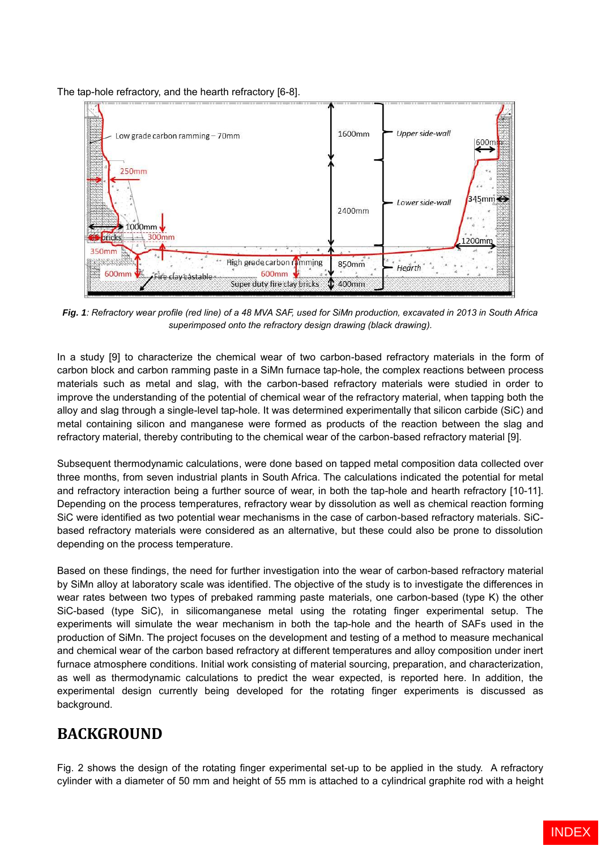The tap-hole refractory, and the hearth refractory [6-8].



*Fig. 1: Refractory wear profile (red line) of a 48 MVA SAF, used for SiMn production, excavated in 2013 in South Africa superimposed onto the refractory design drawing (black drawing).* 

In a study [9] to characterize the chemical wear of two carbon-based refractory materials in the form of carbon block and carbon ramming paste in a SiMn furnace tap-hole, the complex reactions between process materials such as metal and slag, with the carbon-based refractory materials were studied in order to improve the understanding of the potential of chemical wear of the refractory material, when tapping both the alloy and slag through a single-level tap-hole. It was determined experimentally that silicon carbide (SiC) and metal containing silicon and manganese were formed as products of the reaction between the slag and refractory material, thereby contributing to the chemical wear of the carbon-based refractory material [9].

Subsequent thermodynamic calculations, were done based on tapped metal composition data collected over three months, from seven industrial plants in South Africa. The calculations indicated the potential for metal and refractory interaction being a further source of wear, in both the tap-hole and hearth refractory [10-11]. Depending on the process temperatures, refractory wear by dissolution as well as chemical reaction forming SiC were identified as two potential wear mechanisms in the case of carbon-based refractory materials. SiCbased refractory materials were considered as an alternative, but these could also be prone to dissolution depending on the process temperature.

Based on these findings, the need for further investigation into the wear of carbon-based refractory material by SiMn alloy at laboratory scale was identified. The objective of the study is to investigate the differences in wear rates between two types of prebaked ramming paste materials, one carbon-based (type K) the other SiC-based (type SiC), in silicomanganese metal using the rotating finger experimental setup. The experiments will simulate the wear mechanism in both the tap-hole and the hearth of SAFs used in the production of SiMn. The project focuses on the development and testing of a method to measure mechanical and chemical wear of the carbon based refractory at different temperatures and alloy composition under inert furnace atmosphere conditions. Initial work consisting of material sourcing, preparation, and characterization, as well as thermodynamic calculations to predict the wear expected, is reported here. In addition, the experimental design currently being developed for the rotating finger experiments is discussed as background.

# **BACKGROUND**

Fig. 2 shows the design of the rotating finger experimental set-up to be applied in the study. A refractory cylinder with a diameter of 50 mm and height of 55 mm is attached to a cylindrical graphite rod with a height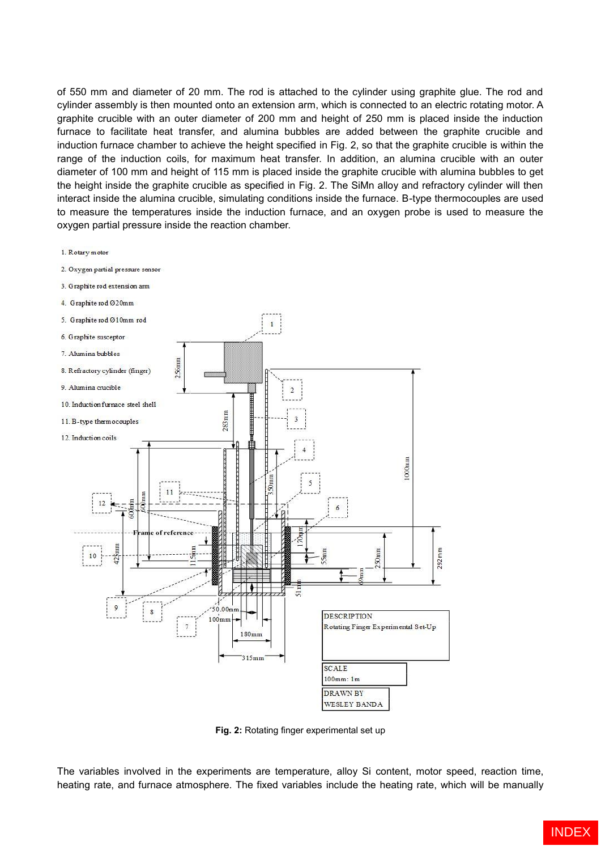of 550 mm and diameter of 20 mm. The rod is attached to the cylinder using graphite glue. The rod and cylinder assembly is then mounted onto an extension arm, which is connected to an electric rotating motor. A graphite crucible with an outer diameter of 200 mm and height of 250 mm is placed inside the induction furnace to facilitate heat transfer, and alumina bubbles are added between the graphite crucible and induction furnace chamber to achieve the height specified in Fig. 2, so that the graphite crucible is within the range of the induction coils, for maximum heat transfer. In addition, an alumina crucible with an outer diameter of 100 mm and height of 115 mm is placed inside the graphite crucible with alumina bubbles to get the height inside the graphite crucible as specified in Fig. 2. The SiMn alloy and refractory cylinder will then interact inside the alumina crucible, simulating conditions inside the furnace. B-type thermocouples are used to measure the temperatures inside the induction furnace, and an oxygen probe is used to measure the oxygen partial pressure inside the reaction chamber.



**Fig. 2:** Rotating finger experimental set up

The variables involved in the experiments are temperature, alloy Si content, motor speed, reaction time, heating rate, and furnace atmosphere. The fixed variables include the heating rate, which will be manually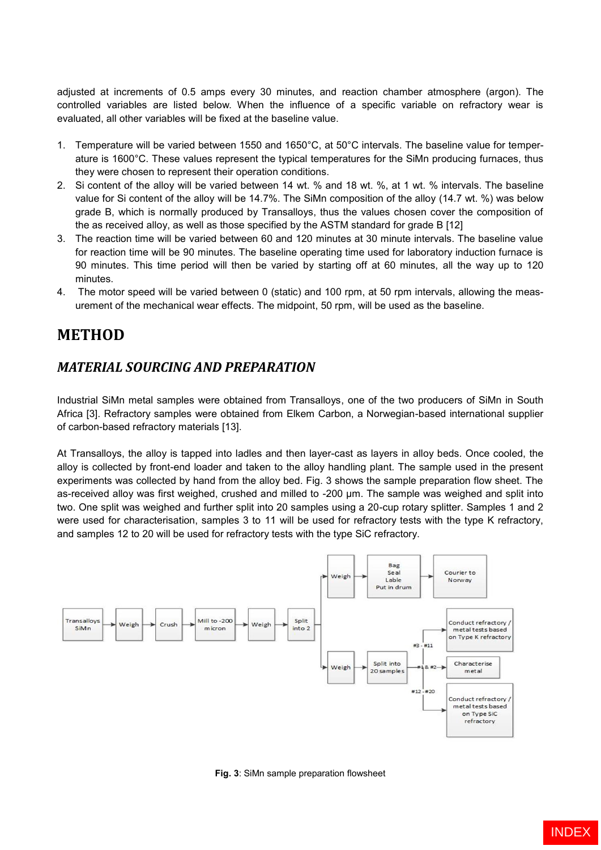adjusted at increments of 0.5 amps every 30 minutes, and reaction chamber atmosphere (argon). The controlled variables are listed below. When the influence of a specific variable on refractory wear is evaluated, all other variables will be fixed at the baseline value.

- 1. Temperature will be varied between 1550 and 1650°C, at 50°C intervals. The baseline value for temperature is 1600°C. These values represent the typical temperatures for the SiMn producing furnaces, thus they were chosen to represent their operation conditions.
- 2. Si content of the alloy will be varied between 14 wt. % and 18 wt. %, at 1 wt. % intervals. The baseline value for Si content of the alloy will be 14.7%. The SiMn composition of the alloy (14.7 wt. %) was below grade B, which is normally produced by Transalloys, thus the values chosen cover the composition of the as received alloy, as well as those specified by the ASTM standard for grade B [12]
- 3. The reaction time will be varied between 60 and 120 minutes at 30 minute intervals. The baseline value for reaction time will be 90 minutes. The baseline operating time used for laboratory induction furnace is 90 minutes. This time period will then be varied by starting off at 60 minutes, all the way up to 120 minutes.
- 4. The motor speed will be varied between 0 (static) and 100 rpm, at 50 rpm intervals, allowing the measurement of the mechanical wear effects. The midpoint, 50 rpm, will be used as the baseline.

# **METHOD**

#### *MATERIAL SOURCING AND PREPARATION*

Industrial SiMn metal samples were obtained from Transalloys, one of the two producers of SiMn in South Africa [3]. Refractory samples were obtained from Elkem Carbon, a Norwegian-based international supplier of carbon-based refractory materials [13].

At Transalloys, the alloy is tapped into ladles and then layer-cast as layers in alloy beds. Once cooled, the alloy is collected by front-end loader and taken to the alloy handling plant. The sample used in the present experiments was collected by hand from the alloy bed. Fig. 3 shows the sample preparation flow sheet. The as-received alloy was first weighed, crushed and milled to -200 µm. The sample was weighed and split into two. One split was weighed and further split into 20 samples using a 20-cup rotary splitter. Samples 1 and 2 were used for characterisation, samples 3 to 11 will be used for refractory tests with the type K refractory, and samples 12 to 20 will be used for refractory tests with the type SiC refractory.



**Fig. 3**: SiMn sample preparation flowsheet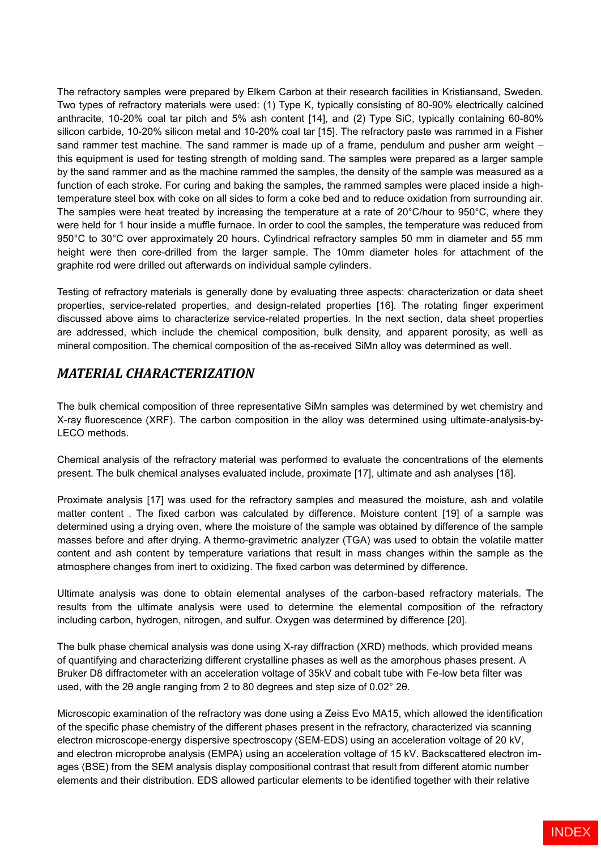The refractory samples were prepared by Elkem Carbon at their research facilities in Kristiansand, Sweden. Two types of refractory materials were used: (1) Type K, typically consisting of 80-90% electrically calcined anthracite, 10-20% coal tar pitch and 5% ash content [14], and (2) Type SiC, typically containing 60-80% silicon carbide, 10-20% silicon metal and 10-20% coal tar [15]. The refractory paste was rammed in a Fisher sand rammer test machine. The sand rammer is made up of a frame, pendulum and pusher arm weight – this equipment is used for testing strength of molding sand. The samples were prepared as a larger sample by the sand rammer and as the machine rammed the samples, the density of the sample was measured as a function of each stroke. For curing and baking the samples, the rammed samples were placed inside a hightemperature steel box with coke on all sides to form a coke bed and to reduce oxidation from surrounding air. The samples were heat treated by increasing the temperature at a rate of 20°C/hour to 950°C, where they were held for 1 hour inside a muffle furnace. In order to cool the samples, the temperature was reduced from 950°C to 30°C over approximately 20 hours. Cylindrical refractory samples 50 mm in diameter and 55 mm height were then core-drilled from the larger sample. The 10mm diameter holes for attachment of the graphite rod were drilled out afterwards on individual sample cylinders.

Testing of refractory materials is generally done by evaluating three aspects: characterization or data sheet properties, service-related properties, and design-related properties [16]. The rotating finger experiment discussed above aims to characterize service-related properties. In the next section, data sheet properties are addressed, which include the chemical composition, bulk density, and apparent porosity, as well as mineral composition. The chemical composition of the as-received SiMn alloy was determined as well.

#### *MATERIAL CHARACTERIZATION*

The bulk chemical composition of three representative SiMn samples was determined by wet chemistry and X-ray fluorescence (XRF). The carbon composition in the alloy was determined using ultimate-analysis-by-LECO methods.

Chemical analysis of the refractory material was performed to evaluate the concentrations of the elements present. The bulk chemical analyses evaluated include, proximate [17], ultimate and ash analyses [18].

Proximate analysis [17] was used for the refractory samples and measured the moisture, ash and volatile matter content . The fixed carbon was calculated by difference. Moisture content [19] of a sample was determined using a drying oven, where the moisture of the sample was obtained by difference of the sample masses before and after drying. A thermo-gravimetric analyzer (TGA) was used to obtain the volatile matter content and ash content by temperature variations that result in mass changes within the sample as the atmosphere changes from inert to oxidizing. The fixed carbon was determined by difference.

Ultimate analysis was done to obtain elemental analyses of the carbon-based refractory materials. The results from the ultimate analysis were used to determine the elemental composition of the refractory including carbon, hydrogen, nitrogen, and sulfur. Oxygen was determined by difference [20].

The bulk phase chemical analysis was done using X-ray diffraction (XRD) methods, which provided means of quantifying and characterizing different crystalline phases as well as the amorphous phases present. A Bruker D8 diffractometer with an acceleration voltage of 35kV and cobalt tube with Fe-low beta filter was used, with the 2θ angle ranging from 2 to 80 degrees and step size of 0.02° 2θ.

Microscopic examination of the refractory was done using a Zeiss Evo MA15, which allowed the identification of the specific phase chemistry of the different phases present in the refractory, characterized via scanning electron microscope-energy dispersive spectroscopy (SEM-EDS) using an acceleration voltage of 20 kV, and electron microprobe analysis (EMPA) using an acceleration voltage of 15 kV. Backscattered electron images (BSE) from the SEM analysis display compositional contrast that result from different atomic number elements and their distribution. EDS allowed particular elements to be identified together with their relative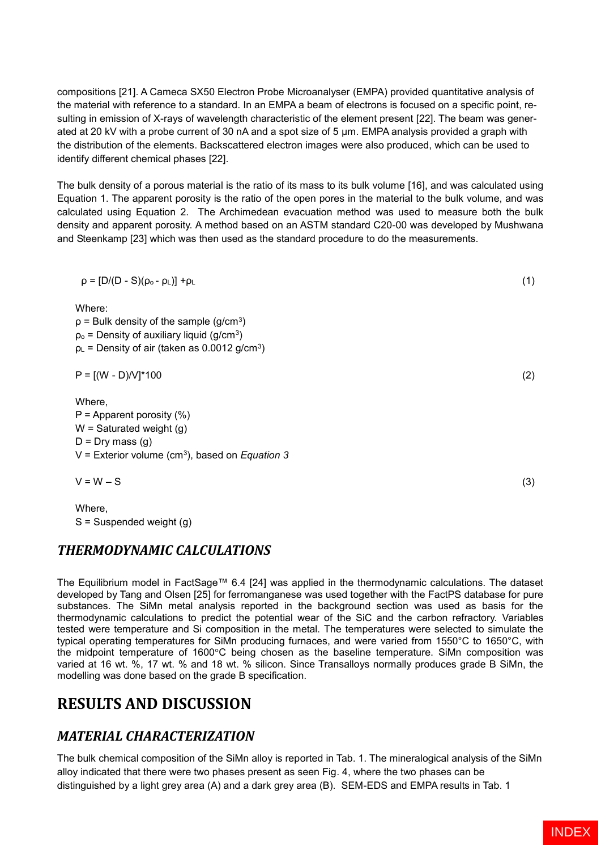compositions [21]. A Cameca SX50 Electron Probe Microanalyser (EMPA) provided quantitative analysis of the material with reference to a standard. In an EMPA a beam of electrons is focused on a specific point, resulting in emission of X-rays of wavelength characteristic of the element present [22]. The beam was generated at 20 kV with a probe current of 30 nA and a spot size of 5 um. EMPA analysis provided a graph with the distribution of the elements. Backscattered electron images were also produced, which can be used to identify different chemical phases [22].

The bulk density of a porous material is the ratio of its mass to its bulk volume [16], and was calculated using Equation 1. The apparent porosity is the ratio of the open pores in the material to the bulk volume, and was calculated using Equation 2. The Archimedean evacuation method was used to measure both the bulk density and apparent porosity. A method based on an ASTM standard C20-00 was developed by Mushwana and Steenkamp [23] which was then used as the standard procedure to do the measurements.

$$
\rho = [D/(D - S)(\rho_o - \rho_L)] + \rho_L
$$
\nWhere:

\n
$$
U = \frac{1}{2} \left( \frac{1}{2} \right)^2
$$
\nwhere

 $p =$  Bulk density of the sample (g/cm<sup>3</sup>)  $p_0$  = Density of auxiliary liquid (g/cm<sup>3</sup>)  $p<sub>L</sub>$  = Density of air (taken as 0.0012 g/cm<sup>3</sup>)

 $P = [(W - D)/V]^*100$  (2)

Where,  $P =$  Apparent porosity  $(\%)$  $W =$  Saturated weight  $(q)$  $D = Dry$  mass (q) V = Exterior volume (cm<sup>3</sup> ), based on *Equation 3*

 $V = W - S$  (3)

Where, S = Suspended weight (g)

#### *THERMODYNAMIC CALCULATIONS*

The Equilibrium model in FactSage™ 6.4 [24] was applied in the thermodynamic calculations. The dataset developed by Tang and Olsen [25] for ferromanganese was used together with the FactPS database for pure substances. The SiMn metal analysis reported in the background section was used as basis for the thermodynamic calculations to predict the potential wear of the SiC and the carbon refractory. Variables tested were temperature and Si composition in the metal. The temperatures were selected to simulate the typical operating temperatures for SiMn producing furnaces, and were varied from 1550°C to 1650°C, with the midpoint temperature of 1600°C being chosen as the baseline temperature. SiMn composition was varied at 16 wt. %, 17 wt. % and 18 wt. % silicon. Since Transalloys normally produces grade B SiMn, the modelling was done based on the grade B specification.

# **RESULTS AND DISCUSSION**

# *MATERIAL CHARACTERIZATION*

The bulk chemical composition of the SiMn alloy is reported in Tab. 1. The mineralogical analysis of the SiMn alloy indicated that there were two phases present as seen Fig. 4, where the two phases can be distinguished by a light grey area (A) and a dark grey area (B). SEM-EDS and EMPA results in Tab. 1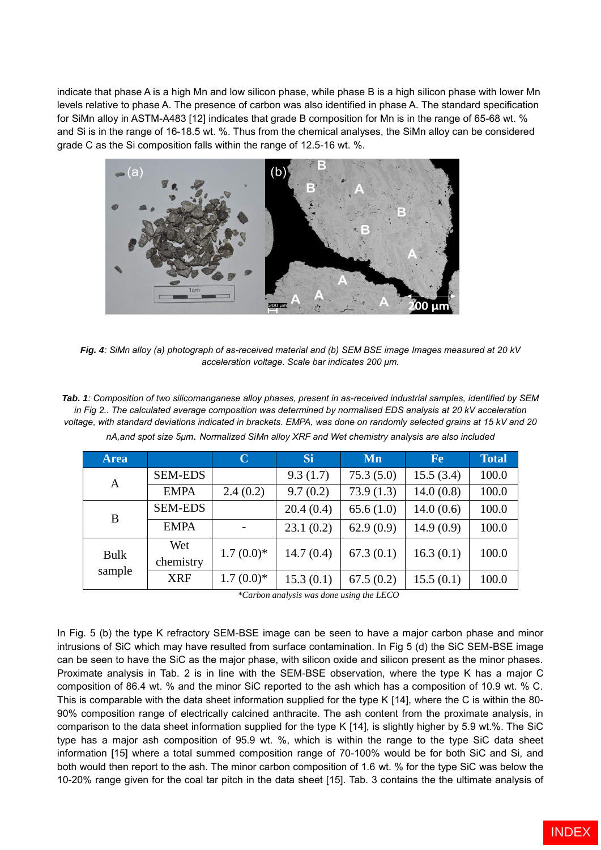indicate that phase A is a high Mn and low silicon phase, while phase B is a high silicon phase with lower Mn levels relative to phase A. The presence of carbon was also identified in phase A. The standard specification for SiMn alloy in ASTM-A483 [12] indicates that grade B composition for Mn is in the range of 65-68 wt. % and Si is in the range of 16-18.5 wt. %. Thus from the chemical analyses, the SiMn alloy can be considered grade C as the Si composition falls within the range of 12.5-16 wt. %.



*Fig. 4: SiMn alloy (a) photograph of as-received material and (b) SEM BSE image Images measured at 20 kV acceleration voltage. Scale bar indicates 200 μm.*

*Tab. 1: Composition of two silicomanganese alloy phases, present in as-received industrial samples, identified by SEM in Fig 2.. The calculated average composition was determined by normalised EDS analysis at 20 kV acceleration voltage, with standard deviations indicated in brackets. EMPA, was done on randomly selected grains at 15 kV and 20 nA,and spot size 5μm. Normalized SiMn alloy XRF and Wet chemistry analysis are also included*

| <b>Area</b>           |                  | $\mathbf C$ | Si        | Mn        | <b>Fe</b> | <b>Total</b> |
|-----------------------|------------------|-------------|-----------|-----------|-----------|--------------|
| A                     | <b>SEM-EDS</b>   |             | 9.3(1.7)  | 75.3(5.0) | 15.5(3.4) | 100.0        |
|                       | <b>EMPA</b>      | 2.4(0.2)    | 9.7(0.2)  | 73.9(1.3) | 14.0(0.8) | 100.0        |
| B                     | <b>SEM-EDS</b>   |             | 20.4(0.4) | 65.6(1.0) | 14.0(0.6) | 100.0        |
|                       | <b>EMPA</b>      |             | 23.1(0.2) | 62.9(0.9) | 14.9(0.9) | 100.0        |
| <b>Bulk</b><br>sample | Wet<br>chemistry | $1.7(0.0)*$ | 14.7(0.4) | 67.3(0.1) | 16.3(0.1) | 100.0        |
|                       | <b>XRF</b>       | $1.7(0.0)*$ | 15.3(0.1) | 67.5(0.2) | 15.5(0.1) | 100.0        |

*\*Carbon analysis was done using the LECO*

In Fig. 5 (b) the type K refractory SEM-BSE image can be seen to have a major carbon phase and minor intrusions of SiC which may have resulted from surface contamination. In Fig 5 (d) the SiC SEM-BSE image can be seen to have the SiC as the major phase, with silicon oxide and silicon present as the minor phases. Proximate analysis in Tab. 2 is in line with the SEM-BSE observation, where the type K has a major C composition of 86.4 wt. % and the minor SiC reported to the ash which has a composition of 10.9 wt. % C. This is comparable with the data sheet information supplied for the type K [14], where the C is within the 80- 90% composition range of electrically calcined anthracite. The ash content from the proximate analysis, in comparison to the data sheet information supplied for the type K [14], is slightly higher by 5.9 wt.%. The SiC type has a major ash composition of 95.9 wt. %, which is within the range to the type SiC data sheet information [15] where a total summed composition range of 70-100% would be for both SiC and Si, and both would then report to the ash. The minor carbon composition of 1.6 wt. % for the type SiC was below the 10-20% range given for the coal tar pitch in the data sheet [15]. Tab. 3 contains the the ultimate analysis of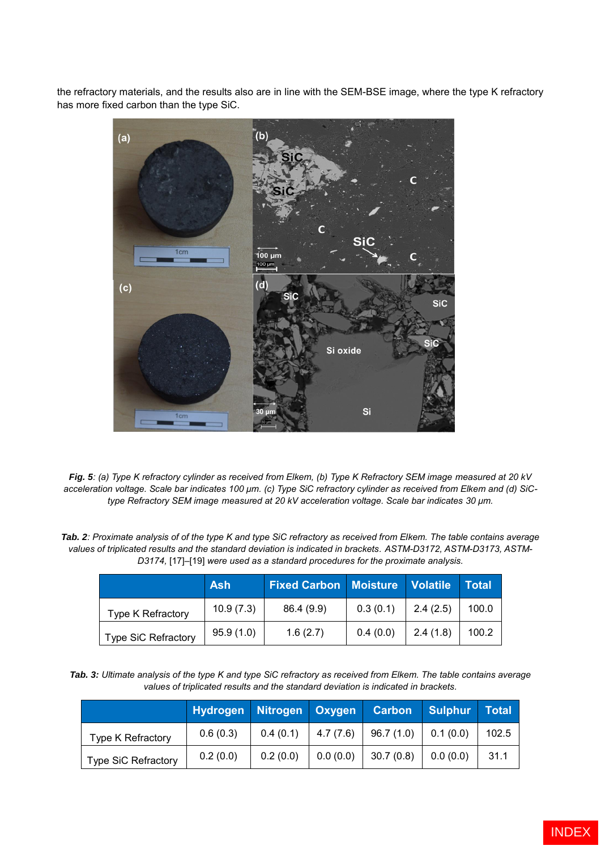the refractory materials, and the results also are in line with the SEM-BSE image, where the type K refractory has more fixed carbon than the type SiC.



*Fig. 5: (a) Type K refractory cylinder as received from Elkem, (b) Type K Refractory SEM image measured at 20 kV acceleration voltage. Scale bar indicates 100 μm. (c) Type SiC refractory cylinder as received from Elkem and (d) SiCtype Refractory SEM image measured at 20 kV acceleration voltage. Scale bar indicates 30 μm.*

*Tab. 2: Proximate analysis of of the type K and type SiC refractory as received from Elkem. The table contains average values of triplicated results and the standard deviation is indicated in brackets. ASTM-D3172, ASTM-D3173, ASTM-D3174,* [17]–[19] *were used as a standard procedures for the proximate analysis.*

|                            | <b>Ash</b> | <b>Fixed Carbon   Moisture   Volatile  </b> |          |          | Total |
|----------------------------|------------|---------------------------------------------|----------|----------|-------|
| Type K Refractory          | 10.9(7.3)  | 86.4 (9.9)                                  | 0.3(0.1) | 2.4(2.5) | 100.0 |
| <b>Type SiC Refractory</b> | 95.9(1.0)  | 1.6(2.7)                                    | 0.4(0.0) | 2.4(1.8) | 100.2 |

*Tab. 3: Ultimate analysis of the type K and type SiC refractory as received from Elkem. The table contains average values of triplicated results and the standard deviation is indicated in brackets.*

|                            | Hydrogen Nitrogen Oxygen |                      |          | <b>Carbon</b> | Sulphur  | Total |
|----------------------------|--------------------------|----------------------|----------|---------------|----------|-------|
| Type K Refractory          | 0.6(0.3)                 | $0.4(0.1)$ 4.7 (7.6) |          | 96.7(1.0)     | 0.1(0.0) | 102.5 |
| <b>Type SiC Refractory</b> | 0.2(0.0)                 | 0.2(0.0)             | 0.0(0.0) | 30.7(0.8)     | 0.0(0.0) | 31.1  |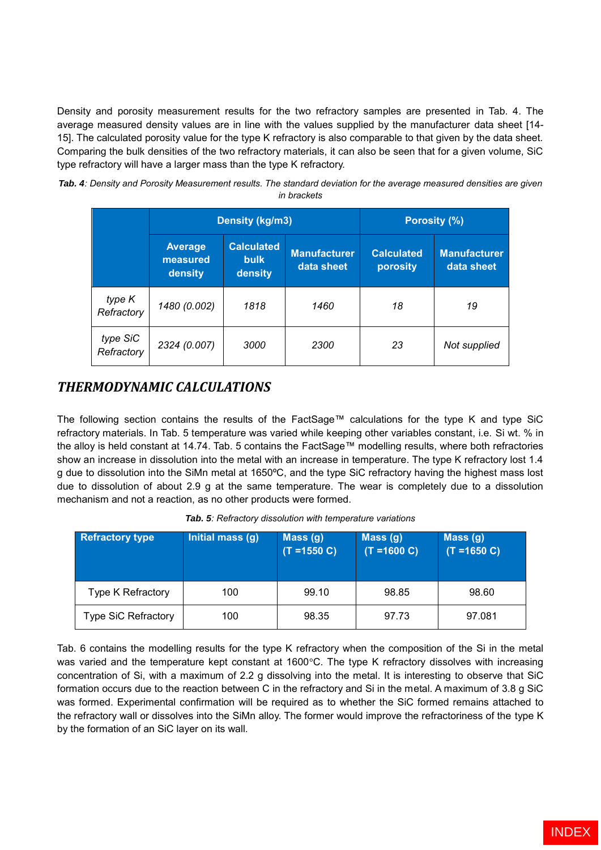Density and porosity measurement results for the two refractory samples are presented in Tab. 4. The average measured density values are in line with the values supplied by the manufacturer data sheet [14- 15]. The calculated porosity value for the type K refractory is also comparable to that given by the data sheet. Comparing the bulk densities of the two refractory materials, it can also be seen that for a given volume, SiC type refractory will have a larger mass than the type K refractory.

| Tab. 4: Density and Porosity Measurement results. The standard deviation for the average measured densities are given |  |
|-----------------------------------------------------------------------------------------------------------------------|--|
| in brackets                                                                                                           |  |

|                        |                                       | Density (kg/m3)                             | <b>Porosity (%)</b>               |                               |                                   |
|------------------------|---------------------------------------|---------------------------------------------|-----------------------------------|-------------------------------|-----------------------------------|
|                        | <b>Average</b><br>measured<br>density | <b>Calculated</b><br><b>bulk</b><br>density | <b>Manufacturer</b><br>data sheet | <b>Calculated</b><br>porosity | <b>Manufacturer</b><br>data sheet |
| type K<br>Refractory   | 1480 (0.002)                          | 1818                                        | 1460                              | 18                            | 19                                |
| type SiC<br>Refractory | 2324 (0.007)                          | 3000                                        | 2300                              | 23                            | Not supplied                      |

### *THERMODYNAMIC CALCULATIONS*

The following section contains the results of the FactSage™ calculations for the type K and type SiC refractory materials. In Tab. 5 temperature was varied while keeping other variables constant, i.e. Si wt. % in the alloy is held constant at 14.74. Tab. 5 contains the FactSage™ modelling results, where both refractories show an increase in dissolution into the metal with an increase in temperature. The type K refractory lost 1.4 g due to dissolution into the SiMn metal at 1650ºC, and the type SiC refractory having the highest mass lost due to dissolution of about 2.9 g at the same temperature. The wear is completely due to a dissolution mechanism and not a reaction, as no other products were formed.

| <b>Refractory type</b> | Initial mass (g) | Mass(g)<br>$(T = 1550 C)$ | Mass(g)<br>$(T = 1600 C)$ | Mass(g)<br>$(T = 1650 C)$ |
|------------------------|------------------|---------------------------|---------------------------|---------------------------|
| Type K Refractory      | 100              | 99.10                     | 98.85                     | 98.60                     |
| Type SiC Refractory    | 100              | 98.35                     | 97.73                     | 97.081                    |

*Tab. 5: Refractory dissolution with temperature variations*

Tab. 6 contains the modelling results for the type K refractory when the composition of the Si in the metal was varied and the temperature kept constant at 1600°C. The type K refractory dissolves with increasing concentration of Si, with a maximum of 2.2 g dissolving into the metal. It is interesting to observe that SiC formation occurs due to the reaction between C in the refractory and Si in the metal. A maximum of 3.8 g SiC was formed. Experimental confirmation will be required as to whether the SiC formed remains attached to the refractory wall or dissolves into the SiMn alloy. The former would improve the refractoriness of the type K by the formation of an SiC layer on its wall.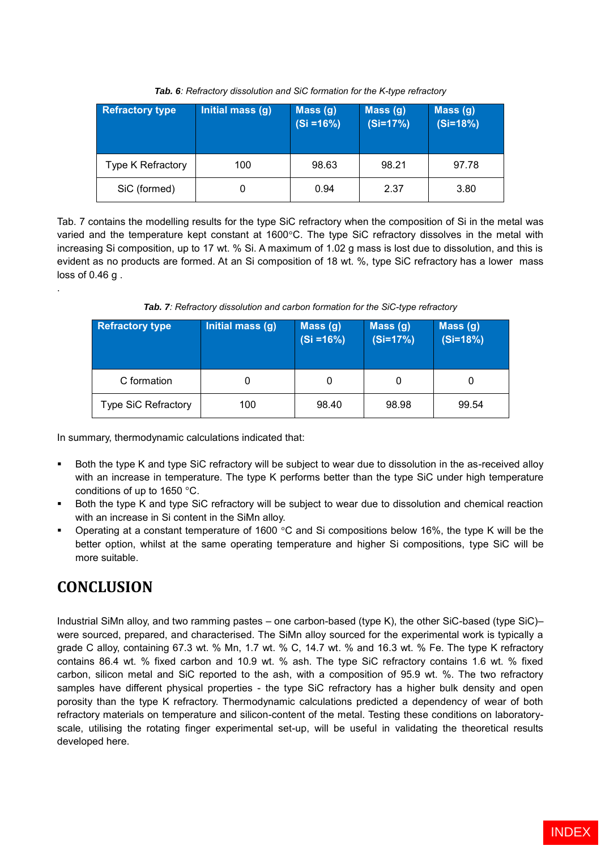| <b>Refractory type</b>   | Initial mass (g) | Mass(g)<br>$(Si = 16%)$ | Mass (g)<br>$(Si=17%)$ | Mass (g)<br>$(Si=18%)$ |
|--------------------------|------------------|-------------------------|------------------------|------------------------|
| <b>Type K Refractory</b> | 100              | 98.63                   | 98.21                  | 97.78                  |
| SiC (formed)             |                  | 0.94                    | 2.37                   | 3.80                   |

*Tab. 6: Refractory dissolution and SiC formation for the K-type refractory*

Tab. 7 contains the modelling results for the type SiC refractory when the composition of Si in the metal was varied and the temperature kept constant at 1600°C. The type SiC refractory dissolves in the metal with increasing Si composition, up to 17 wt. % Si. A maximum of 1.02 g mass is lost due to dissolution, and this is evident as no products are formed. At an Si composition of 18 wt. %, type SiC refractory has a lower mass loss of 0.46 g .

*Tab. 7: Refractory dissolution and carbon formation for the SiC-type refractory*

| <b>Refractory type</b>     | Initial mass (g) | Mass(g)<br>$(Si = 16%)$ | Mass(g)<br>$(Si=17%)$ | Mass (g)<br>$(Si=18%)$ |
|----------------------------|------------------|-------------------------|-----------------------|------------------------|
| C formation                |                  | 0                       |                       | 0                      |
| <b>Type SiC Refractory</b> | 100              | 98.40                   | 98.98                 | 99.54                  |

In summary, thermodynamic calculations indicated that:

- Both the type K and type SiC refractory will be subject to wear due to dissolution in the as-received alloy with an increase in temperature. The type K performs better than the type SiC under high temperature conditions of up to 1650 °C.
- Both the type K and type SiC refractory will be subject to wear due to dissolution and chemical reaction with an increase in Si content in the SiMn alloy.
- Operating at a constant temperature of 1600 °C and Si compositions below 16%, the type K will be the better option, whilst at the same operating temperature and higher Si compositions, type SiC will be more suitable.

# **CONCLUSION**

.

Industrial SiMn alloy, and two ramming pastes – one carbon-based (type K), the other SiC-based (type SiC)– were sourced, prepared, and characterised. The SiMn alloy sourced for the experimental work is typically a grade C alloy, containing 67.3 wt. % Mn, 1.7 wt. % C, 14.7 wt. % and 16.3 wt. % Fe. The type K refractory contains 86.4 wt. % fixed carbon and 10.9 wt. % ash. The type SiC refractory contains 1.6 wt. % fixed carbon, silicon metal and SiC reported to the ash, with a composition of 95.9 wt. %. The two refractory samples have different physical properties - the type SiC refractory has a higher bulk density and open porosity than the type K refractory. Thermodynamic calculations predicted a dependency of wear of both refractory materials on temperature and silicon-content of the metal. Testing these conditions on laboratoryscale, utilising the rotating finger experimental set-up, will be useful in validating the theoretical results developed here.